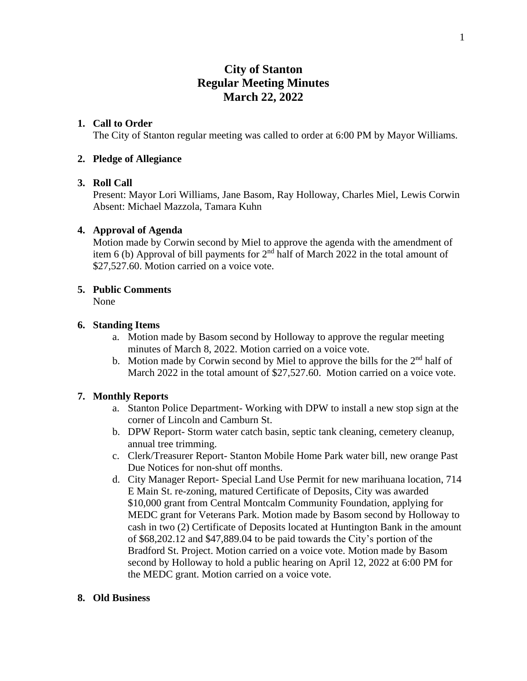# **City of Stanton Regular Meeting Minutes March 22, 2022**

# **1. Call to Order**

The City of Stanton regular meeting was called to order at 6:00 PM by Mayor Williams.

# **2. Pledge of Allegiance**

# **3. Roll Call**

Present: Mayor Lori Williams, Jane Basom, Ray Holloway, Charles Miel, Lewis Corwin Absent: Michael Mazzola, Tamara Kuhn

# **4. Approval of Agenda**

Motion made by Corwin second by Miel to approve the agenda with the amendment of item 6 (b) Approval of bill payments for  $2<sup>nd</sup>$  half of March 2022 in the total amount of \$27,527.60. Motion carried on a voice vote.

# **5. Public Comments**

None

# **6. Standing Items**

- a. Motion made by Basom second by Holloway to approve the regular meeting minutes of March 8, 2022. Motion carried on a voice vote.
- b. Motion made by Corwin second by Miel to approve the bills for the  $2<sup>nd</sup>$  half of March 2022 in the total amount of \$27,527.60. Motion carried on a voice vote.

# **7. Monthly Reports**

- a. Stanton Police Department- Working with DPW to install a new stop sign at the corner of Lincoln and Camburn St.
- b. DPW Report- Storm water catch basin, septic tank cleaning, cemetery cleanup, annual tree trimming.
- c. Clerk/Treasurer Report- Stanton Mobile Home Park water bill, new orange Past Due Notices for non-shut off months.
- d. City Manager Report- Special Land Use Permit for new marihuana location, 714 E Main St. re-zoning, matured Certificate of Deposits, City was awarded \$10,000 grant from Central Montcalm Community Foundation, applying for MEDC grant for Veterans Park. Motion made by Basom second by Holloway to cash in two (2) Certificate of Deposits located at Huntington Bank in the amount of \$68,202.12 and \$47,889.04 to be paid towards the City's portion of the Bradford St. Project. Motion carried on a voice vote. Motion made by Basom second by Holloway to hold a public hearing on April 12, 2022 at 6:00 PM for the MEDC grant. Motion carried on a voice vote.

### **8. Old Business**